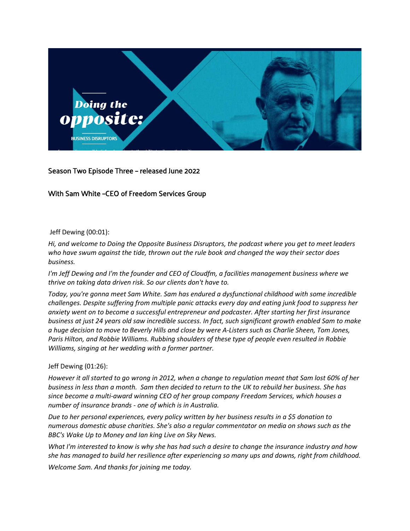

# Season Two Episode Three – released June 2022

# With Sam White –CEO of Freedom Services Group

### Jeff Dewing (00:01):

*Hi, and welcome to Doing the Opposite Business Disruptors, the podcast where you get to meet leaders who have swum against the tide, thrown out the rule book and changed the way their sector does business.* 

*I'm Jeff Dewing and I'm the founder and CEO of Cloudfm, a facilities management business where we thrive on taking data driven risk. So our clients don't have to.*

*Today, you're gonna meet Sam White. Sam has endured a dysfunctional childhood with some incredible challenges. Despite suffering from multiple panic attacks every day and eating junk food to suppress her anxiety went on to become a successful entrepreneur and podcaster. After starting her first insurance business at just 24 years old saw incredible success. In fact, such significant growth enabled Sam to make a huge decision to move to Beverly Hills and close by were A-Listers such as Charlie Sheen, Tom Jones, Paris Hilton, and Robbie Williams. Rubbing shoulders of these type of people even resulted in Robbie Williams, singing at her wedding with a former partner.*

### Jeff Dewing (01:26):

*However it all started to go wrong in 2012, when a change to regulation meant that Sam lost 60% of her business in less than a month. Sam then decided to return to the UK to rebuild her business. She has since become a multi-award winning CEO of her group company Freedom Services, which houses a number of insurance brands - one of which is in Australia.* 

*Due to her personal experiences, every policy written by her business results in a \$5 donation to numerous domestic abuse charities. She's also a regular commentator on media on shows such as the BBC's Wake Up to Money and Ian king Live on Sky News.* 

*What I'm interested to know is why she has had such a desire to change the insurance industry and how she has managed to build her resilience after experiencing so many ups and downs, right from childhood.* 

*Welcome Sam. And thanks for joining me today.*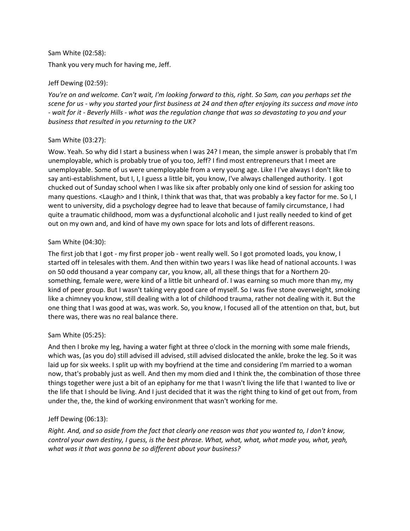# Sam White (02:58):

Thank you very much for having me, Jeff.

### Jeff Dewing (02:59):

*You're on and welcome. Can't wait, I'm looking forward to this, right. So Sam, can you perhaps set the scene for us - why you started your first business at 24 and then after enjoying its success and move into - wait for it - Beverly Hills - what was the regulation change that was so devastating to you and your business that resulted in you returning to the UK?*

### Sam White (03:27):

Wow. Yeah. So why did I start a business when I was 24? I mean, the simple answer is probably that I'm unemployable, which is probably true of you too, Jeff? I find most entrepreneurs that I meet are unemployable. Some of us were unemployable from a very young age. Like I I've always I don't like to say anti-establishment, but I, I, I guess a little bit, you know, I've always challenged authority. I got chucked out of Sunday school when I was like six after probably only one kind of session for asking too many questions. <Laugh> and I think, I think that was that, that was probably a key factor for me. So I, I went to university, did a psychology degree had to leave that because of family circumstance, I had quite a traumatic childhood, mom was a dysfunctional alcoholic and I just really needed to kind of get out on my own and, and kind of have my own space for lots and lots of different reasons.

### Sam White (04:30):

The first job that I got - my first proper job - went really well. So I got promoted loads, you know, I started off in telesales with them. And then within two years I was like head of national accounts. I was on 50 odd thousand a year company car, you know, all, all these things that for a Northern 20 something, female were, were kind of a little bit unheard of. I was earning so much more than my, my kind of peer group. But I wasn't taking very good care of myself. So I was five stone overweight, smoking like a chimney you know, still dealing with a lot of childhood trauma, rather not dealing with it. But the one thing that I was good at was, was work. So, you know, I focused all of the attention on that, but, but there was, there was no real balance there.

### Sam White (05:25):

And then I broke my leg, having a water fight at three o'clock in the morning with some male friends, which was, (as you do) still advised ill advised, still advised dislocated the ankle, broke the leg. So it was laid up for six weeks. I split up with my boyfriend at the time and considering I'm married to a woman now, that's probably just as well. And then my mom died and I think the, the combination of those three things together were just a bit of an epiphany for me that I wasn't living the life that I wanted to live or the life that I should be living. And I just decided that it was the right thing to kind of get out from, from under the, the, the kind of working environment that wasn't working for me.

### Jeff Dewing (06:13):

*Right. And, and so aside from the fact that clearly one reason was that you wanted to, I don't know, control your own destiny, I guess, is the best phrase. What, what, what, what made you, what, yeah, what was it that was gonna be so different about your business?*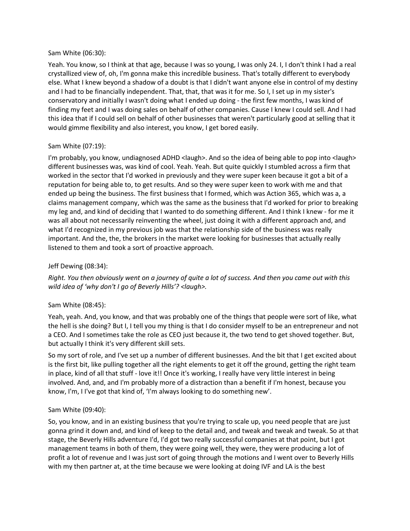### Sam White (06:30):

Yeah. You know, so I think at that age, because I was so young, I was only 24. I, I don't think I had a real crystallized view of, oh, I'm gonna make this incredible business. That's totally different to everybody else. What I knew beyond a shadow of a doubt is that I didn't want anyone else in control of my destiny and I had to be financially independent. That, that, that was it for me. So I, I set up in my sister's conservatory and initially I wasn't doing what I ended up doing - the first few months, I was kind of finding my feet and I was doing sales on behalf of other companies. Cause I knew I could sell. And I had this idea that if I could sell on behalf of other businesses that weren't particularly good at selling that it would gimme flexibility and also interest, you know, I get bored easily.

### Sam White (07:19):

I'm probably, you know, undiagnosed ADHD <laugh>. And so the idea of being able to pop into <laugh> different businesses was, was kind of cool. Yeah. Yeah. But quite quickly I stumbled across a firm that worked in the sector that I'd worked in previously and they were super keen because it got a bit of a reputation for being able to, to get results. And so they were super keen to work with me and that ended up being the business. The first business that I formed, which was Action 365, which was a, a claims management company, which was the same as the business that I'd worked for prior to breaking my leg and, and kind of deciding that I wanted to do something different. And I think I knew - for me it was all about not necessarily reinventing the wheel, just doing it with a different approach and, and what I'd recognized in my previous job was that the relationship side of the business was really important. And the, the, the brokers in the market were looking for businesses that actually really listened to them and took a sort of proactive approach.

### Jeff Dewing (08:34):

*Right. You then obviously went on a journey of quite a lot of success. And then you came out with this wild idea of 'why don't I go of Beverly Hills'? <laugh>.*

### Sam White (08:45):

Yeah, yeah. And, you know, and that was probably one of the things that people were sort of like, what the hell is she doing? But I, I tell you my thing is that I do consider myself to be an entrepreneur and not a CEO. And I sometimes take the role as CEO just because it, the two tend to get shoved together. But, but actually I think it's very different skill sets.

So my sort of role, and I've set up a number of different businesses. And the bit that I get excited about is the first bit, like pulling together all the right elements to get it off the ground, getting the right team in place, kind of all that stuff - love it!! Once it's working, I really have very little interest in being involved. And, and, and I'm probably more of a distraction than a benefit if I'm honest, because you know, I'm, I I've got that kind of, 'I'm always looking to do something new'.

### Sam White (09:40):

So, you know, and in an existing business that you're trying to scale up, you need people that are just gonna grind it down and, and kind of keep to the detail and, and tweak and tweak and tweak. So at that stage, the Beverly Hills adventure I'd, I'd got two really successful companies at that point, but I got management teams in both of them, they were going well, they were, they were producing a lot of profit a lot of revenue and I was just sort of going through the motions and I went over to Beverly Hills with my then partner at, at the time because we were looking at doing IVF and LA is the best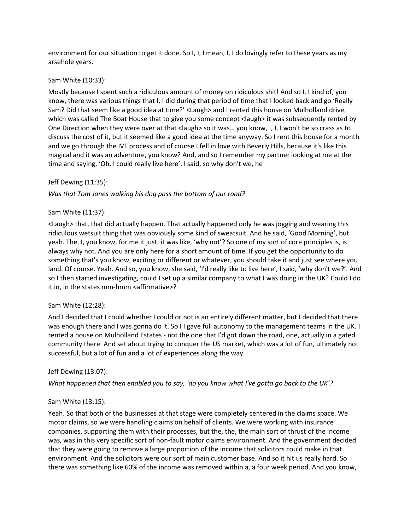environment for our situation to get it done. So I, I, I mean, I, I do lovingly refer to these years as my arsehole years.

### Sam White (10:33):

Mostly because I spent such a ridiculous amount of money on ridiculous shit! And so I, I kind of, you know, there was various things that I, I did during that period of time that I looked back and go 'Really Sam? Did that seem like a good idea at time?' <Laugh> and I rented this house on Mulholland drive, which was called The Boat House that to give you some concept < laugh> it was subsequently rented by One Direction when they were over at that <laugh> so it was… you know, I, I, I won't be so crass as to discuss the cost of it, but it seemed like a good idea at the time anyway. So I rent this house for a month and we go through the IVF process and of course I fell in love with Beverly Hills, because it's like this magical and it was an adventure, you know? And, and so I remember my partner looking at me at the time and saying, 'Oh, I could really live here'. I said, so why don't we, he

### Jeff Dewing (11:35):

### *Was that Tom Jones walking his dog pass the bottom of our road?*

### Sam White (11:37):

<Laugh> that, that did actually happen. That actually happened only he was jogging and wearing this ridiculous wetsuit thing that was obviously some kind of sweatsuit. And he said, 'Good Morning', but yeah. The, I, you know, for me it just, it was like, 'why not'? So one of my sort of core principles is, is always why not. And you are only here for a short amount of time. If you get the opportunity to do something that's you know, exciting or different or whatever, you should take it and just see where you land. Of course. Yeah. And so, you know, she said, 'I'd really like to live here', I said, 'why don't we?'. And so I then started investigating, could I set up a similar company to what I was doing in the UK? Could I do it in, in the states mm-hmm <affirmative>?

### Sam White (12:28):

And I decided that I could whether I could or not is an entirely different matter, but I decided that there was enough there and I was gonna do it. So II gave full autonomy to the management teams in the UK. I rented a house on Mulholland Estates - not the one that I'd got down the road, one, actually in a gated community there. And set about trying to conquer the US market, which was a lot of fun, ultimately not successful, but a lot of fun and a lot of experiences along the way.

### Jeff Dewing (13:07):

*What happened that then enabled you to say, 'do you know what I've gotta go back to the UK'?*

### Sam White (13:15):

Yeah. So that both of the businesses at that stage were completely centered in the claims space. We motor claims, so we were handling claims on behalf of clients. We were working with insurance companies, supporting them with their processes, but the, the, the main sort of thrust of the income was, was in this very specific sort of non-fault motor claims environment. And the government decided that they were going to remove a large proportion of the income that solicitors could make in that environment. And the solicitors were our sort of main customer base. And so it hit us really hard. So there was something like 60% of the income was removed within a, a four week period. And you know,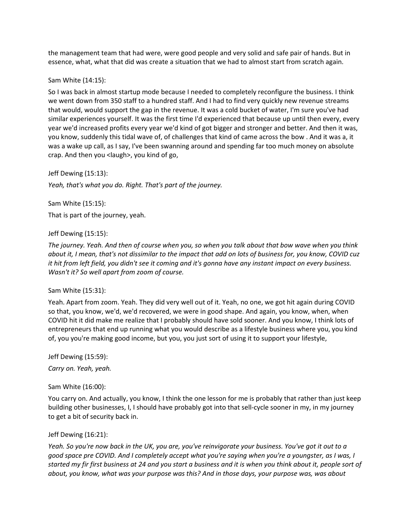the management team that had were, were good people and very solid and safe pair of hands. But in essence, what, what that did was create a situation that we had to almost start from scratch again.

### Sam White (14:15):

So I was back in almost startup mode because I needed to completely reconfigure the business. I think we went down from 350 staff to a hundred staff. And I had to find very quickly new revenue streams that would, would support the gap in the revenue. It was a cold bucket of water, I'm sure you've had similar experiences yourself. It was the first time I'd experienced that because up until then every, every year we'd increased profits every year we'd kind of got bigger and stronger and better. And then it was, you know, suddenly this tidal wave of, of challenges that kind of came across the bow . And it was a, it was a wake up call, as I say, I've been swanning around and spending far too much money on absolute crap. And then you <laugh>, you kind of go,

Jeff Dewing (15:13):

*Yeah, that's what you do. Right. That's part of the journey.* 

Sam White (15:15):

That is part of the journey, yeah.

### Jeff Dewing (15:15):

*The journey. Yeah. And then of course when you, so when you talk about that bow wave when you think about it, I mean, that's not dissimilar to the impact that add on lots of business for, you know, COVID cuz it hit from left field, you didn't see it coming and it's gonna have any instant impact on every business. Wasn't it? So well apart from zoom of course.*

#### Sam White (15:31):

Yeah. Apart from zoom. Yeah. They did very well out of it. Yeah, no one, we got hit again during COVID so that, you know, we'd, we'd recovered, we were in good shape. And again, you know, when, when COVID hit it did make me realize that I probably should have sold sooner. And you know, I think lots of entrepreneurs that end up running what you would describe as a lifestyle business where you, you kind of, you you're making good income, but you, you just sort of using it to support your lifestyle,

Jeff Dewing (15:59):

*Carry on. Yeah, yeah.*

Sam White (16:00):

You carry on. And actually, you know, I think the one lesson for me is probably that rather than just keep building other businesses, I, I should have probably got into that sell-cycle sooner in my, in my journey to get a bit of security back in.

### Jeff Dewing (16:21):

*Yeah. So you're now back in the UK, you are, you've reinvigorate your business. You've got it out to a good space pre COVID. And I completely accept what you're saying when you're a youngster, as I was, I started my fir first business at 24 and you start a business and it is when you think about it, people sort of about, you know, what was your purpose was this? And in those days, your purpose was, was about*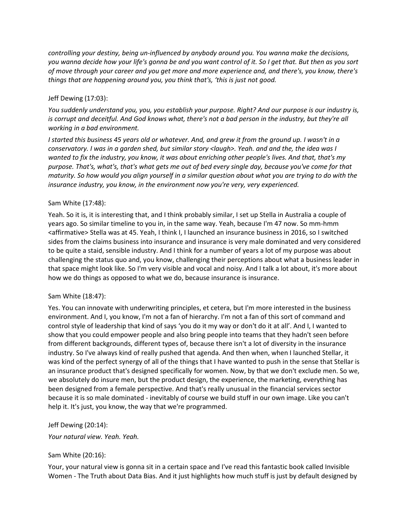*controlling your destiny, being un-influenced by anybody around you. You wanna make the decisions, you wanna decide how your life's gonna be and you want control of it. So I get that. But then as you sort of move through your career and you get more and more experience and, and there's, you know, there's things that are happening around you, you think that's, 'this is just not good.*

### Jeff Dewing (17:03):

*You suddenly understand you, you, you establish your purpose. Right? And our purpose is our industry is, is corrupt and deceitful. And God knows what, there's not a bad person in the industry, but they're all working in a bad environment.* 

*I started this business 45 years old or whatever. And, and grew it from the ground up. I wasn't in a conservatory. I was in a garden shed, but similar story <laugh>. Yeah. and and the, the idea was I wanted to fix the industry, you know, it was about enriching other people's lives. And that, that's my purpose. That's, what's, that's what gets me out of bed every single day, because you've come for that maturity. So how would you align yourself in a similar question about what you are trying to do with the insurance industry, you know, in the environment now you're very, very experienced.* 

### Sam White (17:48):

Yeah. So it is, it is interesting that, and I think probably similar, I set up Stella in Australia a couple of years ago. So similar timeline to you in, in the same way. Yeah, because I'm 47 now. So mm-hmm <affirmative> Stella was at 45. Yeah, I think I, I launched an insurance business in 2016, so I switched sides from the claims business into insurance and insurance is very male dominated and very considered to be quite a staid, sensible industry. And I think for a number of years a lot of my purpose was about challenging the status quo and, you know, challenging their perceptions about what a business leader in that space might look like. So I'm very visible and vocal and noisy. And I talk a lot about, it's more about how we do things as opposed to what we do, because insurance is insurance.

# Sam White (18:47):

Yes. You can innovate with underwriting principles, et cetera, but I'm more interested in the business environment. And I, you know, I'm not a fan of hierarchy. I'm not a fan of this sort of command and control style of leadership that kind of says 'you do it my way or don't do it at all'. And I, I wanted to show that you could empower people and also bring people into teams that they hadn't seen before from different backgrounds, different types of, because there isn't a lot of diversity in the insurance industry. So I've always kind of really pushed that agenda. And then when, when I launched Stellar, it was kind of the perfect synergy of all of the things that I have wanted to push in the sense that Stellar is an insurance product that's designed specifically for women. Now, by that we don't exclude men. So we, we absolutely do insure men, but the product design, the experience, the marketing, everything has been designed from a female perspective. And that's really unusual in the financial services sector because it is so male dominated - inevitably of course we build stuff in our own image. Like you can't help it. It's just, you know, the way that we're programmed.

### Jeff Dewing (20:14):

*Your natural view. Yeah. Yeah.*

# Sam White (20:16):

Your, your natural view is gonna sit in a certain space and I've read this fantastic book called Invisible Women - The Truth about Data Bias. And it just highlights how much stuff is just by default designed by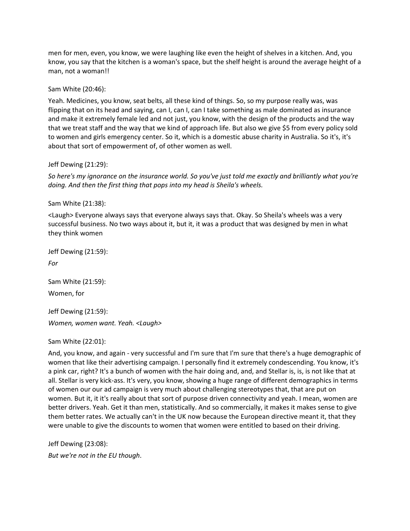men for men, even, you know, we were laughing like even the height of shelves in a kitchen. And, you know, you say that the kitchen is a woman's space, but the shelf height is around the average height of a man, not a woman!!

### Sam White (20:46):

Yeah. Medicines, you know, seat belts, all these kind of things. So, so my purpose really was, was flipping that on its head and saying, can I, can I, can I take something as male dominated as insurance and make it extremely female led and not just, you know, with the design of the products and the way that we treat staff and the way that we kind of approach life. But also we give \$5 from every policy sold to women and girls emergency center. So it, which is a domestic abuse charity in Australia. So it's, it's about that sort of empowerment of, of other women as well.

### Jeff Dewing (21:29):

*So here's my ignorance on the insurance world. So you've just told me exactly and brilliantly what you're doing. And then the first thing that pops into my head is Sheila's wheels.*

### Sam White (21:38):

<Laugh> Everyone always says that everyone always says that. Okay. So Sheila's wheels was a very successful business. No two ways about it, but it, it was a product that was designed by men in what they think women

Jeff Dewing (21:59):

*For*

Sam White (21:59): Women, for

Jeff Dewing (21:59): *Women, women want. Yeah. <Laugh>*

### Sam White (22:01):

And, you know, and again - very successful and I'm sure that I'm sure that there's a huge demographic of women that like their advertising campaign. I personally find it extremely condescending. You know, it's a pink car, right? It's a bunch of women with the hair doing and, and, and Stellar is, is, is not like that at all. Stellar is very kick-ass. It's very, you know, showing a huge range of different demographics in terms of women our our ad campaign is very much about challenging stereotypes that, that are put on women. But it, it it's really about that sort of purpose driven connectivity and yeah. I mean, women are better drivers. Yeah. Get it than men, statistically. And so commercially, it makes it makes sense to give them better rates. We actually can't in the UK now because the European directive meant it, that they were unable to give the discounts to women that women were entitled to based on their driving.

Jeff Dewing (23:08): *But we're not in the EU though*.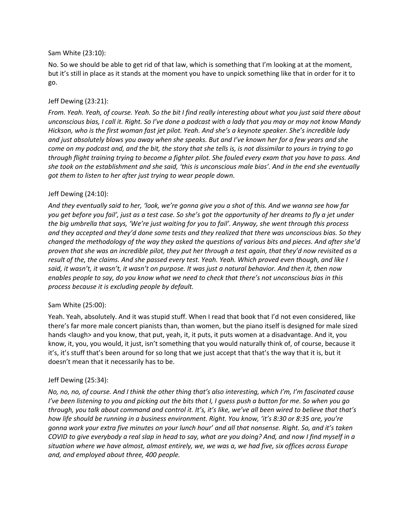### Sam White (23:10):

No. So we should be able to get rid of that law, which is something that I'm looking at at the moment, but it's still in place as it stands at the moment you have to unpick something like that in order for it to go.

### Jeff Dewing (23:21):

*From. Yeah. Yeah, of course. Yeah. So the bit I find really interesting about what you just said there about unconscious bias, I call it. Right. So I've done a podcast with a lady that you may or may not know Mandy Hickson, who is the first woman fast jet pilot. Yeah. And she's a keynote speaker. She's incredible lady and just absolutely blows you away when she speaks. But and I've known her for a few years and she come on my podcast and, and the bit, the story that she tells is, is not dissimilar to yours in trying to go through flight training trying to become a fighter pilot. She fouled every exam that you have to pass. And she took on the establishment and she said, 'this is unconscious male bias'. And in the end she eventually got them to listen to her after just trying to wear people down.* 

### Jeff Dewing (24:10):

*And they eventually said to her, 'look, we're gonna give you a shot of this. And we wanna see how far you get before you fail', just as a test case. So she's got the opportunity of her dreams to fly a jet under the big umbrella that says, 'We're just waiting for you to fail'. Anyway, she went through this process and they accepted and they'd done some tests and they realized that there was unconscious bias. So they changed the methodology of the way they asked the questions of various bits and pieces. And after she'd proven that she was an incredible pilot, they put her through a test again, that they'd now revisited as a result of the, the claims. And she passed every test. Yeah. Yeah. Which proved even though, and like I said, it wasn't, it wasn't, it wasn't on purpose. It was just a natural behavior. And then it, then now enables people to say, do you know what we need to check that there's not unconscious bias in this process because it is excluding people by default.* 

#### Sam White (25:00):

Yeah. Yeah, absolutely. And it was stupid stuff. When I read that book that I'd not even considered, like there's far more male concert pianists than, than women, but the piano itself is designed for male sized hands <laugh> and you know, that put, yeah, it, it puts, it puts women at a disadvantage. And it, you know, it, you, you would, it just, isn't something that you would naturally think of, of course, because it it's, it's stuff that's been around for so long that we just accept that that's the way that it is, but it doesn't mean that it necessarily has to be.

#### Jeff Dewing (25:34):

*No, no, no, of course. And I think the other thing that's also interesting, which I'm, I'm fascinated cause I've been listening to you and picking out the bits that I, I guess push a button for me. So when you go through, you talk about command and control it. It's, it's like, we've all been wired to believe that that's how life should be running in a business environment. Right. You know, 'it's 8:30 or 8:35 are, you're gonna work your extra five minutes on your lunch hour' and all that nonsense. Right. So, and it's taken COVID to give everybody a real slap in head to say, what are you doing? And, and now I find myself in a situation where we have almost, almost entirely, we, we was a, we had five, six offices across Europe and, and employed about three, 400 people.*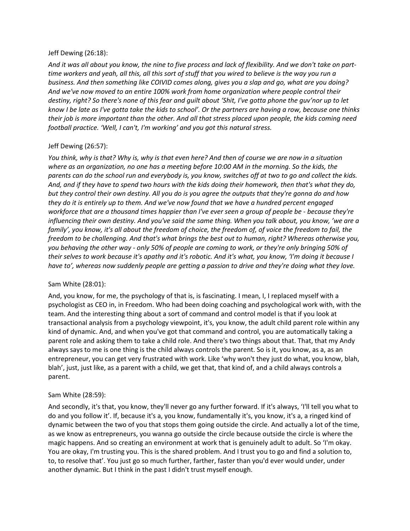### Jeff Dewing (26:18):

*And it was all about you know, the nine to five process and lack of flexibility. And we don't take on parttime workers and yeah, all this, all this sort of stuff that you wired to believe is the way you run a business. And then something like COIVID comes along, gives you a slap and go, what are you doing? And we've now moved to an entire 100% work from home organization where people control their destiny, right? So there's none of this fear and guilt about 'Shit, I've gotta phone the guv'nor up to let know I be late as I've gotta take the kids to school'. Or the partners are having a row, because one thinks their job is more important than the other. And all that stress placed upon people, the kids coming need football practice. 'Well, I can't, I'm working' and you got this natural stress.*

### Jeff Dewing (26:57):

*You think, why is that? Why is, why is that even here? And then of course we are now in a situation where as an organization, no one has a meeting before 10:00 AM in the morning. So the kids, the parents can do the school run and everybody is, you know, switches off at two to go and collect the kids. And, and if they have to spend two hours with the kids doing their homework, then that's what they do, but they control their own destiny. All you do is you agree the outputs that they're gonna do and how they do it is entirely up to them. And we've now found that we have a hundred percent engaged workforce that are a thousand times happier than I've ever seen a group of people be - because they're influencing their own destiny. And you've said the same thing. When you talk about, you know, 'we are a family', you know, it's all about the freedom of choice, the freedom of, of voice the freedom to fail, the freedom to be challenging. And that's what brings the best out to human, right? Whereas otherwise you, you behaving the other way - only 50% of people are coming to work, or they're only bringing 50% of their selves to work because it's apathy and it's robotic. And it's what, you know, 'I'm doing it because I have to', whereas now suddenly people are getting a passion to drive and they're doing what they love.* 

### Sam White (28:01):

And, you know, for me, the psychology of that is, is fascinating. I mean, I, I replaced myself with a psychologist as CEO in, in Freedom. Who had been doing coaching and psychological work with, with the team. And the interesting thing about a sort of command and control model is that if you look at transactional analysis from a psychology viewpoint, it's, you know, the adult child parent role within any kind of dynamic. And, and when you've got that command and control, you are automatically taking a parent role and asking them to take a child role. And there's two things about that. That, that my Andy always says to me is one thing is the child always controls the parent. So is it, you know, as a, as an entrepreneur, you can get very frustrated with work. Like 'why won't they just do what, you know, blah, blah', just, just like, as a parent with a child, we get that, that kind of, and a child always controls a parent.

### Sam White (28:59):

And secondly, it's that, you know, they'll never go any further forward. If it's always, 'I'll tell you what to do and you follow it'. If, because it's a, you know, fundamentally it's, you know, it's a, a ringed kind of dynamic between the two of you that stops them going outside the circle. And actually a lot of the time, as we know as entrepreneurs, you wanna go outside the circle because outside the circle is where the magic happens. And so creating an environment at work that is genuinely adult to adult. So 'I'm okay. You are okay, I'm trusting you. This is the shared problem. And I trust you to go and find a solution to, to, to resolve that'. You just go so much further, farther, faster than you'd ever would under, under another dynamic. But I think in the past I didn't trust myself enough.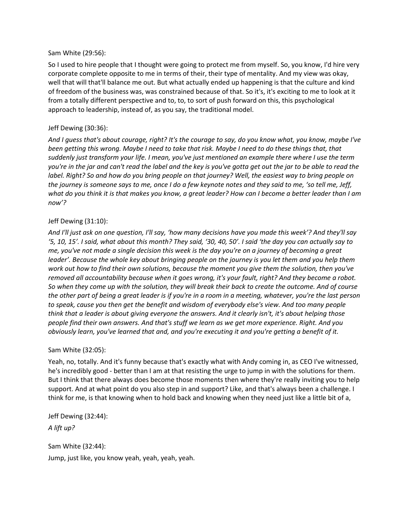### Sam White (29:56):

So I used to hire people that I thought were going to protect me from myself. So, you know, I'd hire very corporate complete opposite to me in terms of their, their type of mentality. And my view was okay, well that will that'll balance me out. But what actually ended up happening is that the culture and kind of freedom of the business was, was constrained because of that. So it's, it's exciting to me to look at it from a totally different perspective and to, to, to sort of push forward on this, this psychological approach to leadership, instead of, as you say, the traditional model.

### Jeff Dewing (30:36):

*And I guess that's about courage, right? It's the courage to say, do you know what, you know, maybe I've been getting this wrong. Maybe I need to take that risk. Maybe I need to do these things that, that suddenly just transform your life. I mean, you've just mentioned an example there where I use the term you're in the jar and can't read the label and the key is you've gotta get out the jar to be able to read the label. Right? So and how do you bring people on that journey? Well, the easiest way to bring people on the journey is someone says to me, once I do a few keynote notes and they said to me, 'so tell me, Jeff, what do you think it is that makes you know, a great leader? How can I become a better leader than I am now'?* 

### Jeff Dewing (31:10):

*And I'll just ask on one question, I'll say, 'how many decisions have you made this week'? And they'll say '5, 10, 15'. I said, what about this month? They said, '30, 40, 50'. I said 'the day you can actually say to me, you've not made a single decision this week is the day you're on a journey of becoming a great leader'. Because the whole key about bringing people on the journey is you let them and you help them work out how to find their own solutions, because the moment you give them the solution, then you've removed all accountability because when it goes wrong, it's your fault, right? And they become a robot. So when they come up with the solution, they will break their back to create the outcome. And of course the other part of being a great leader is if you're in a room in a meeting, whatever, you're the last person to speak, cause you then get the benefit and wisdom of everybody else's view. And too many people think that a leader is about giving everyone the answers. And it clearly isn't, it's about helping those people find their own answers. And that's stuff we learn as we get more experience. Right. And you obviously learn, you've learned that and, and you're executing it and you're getting a benefit of it.*

#### Sam White (32:05):

Yeah, no, totally. And it's funny because that's exactly what with Andy coming in, as CEO I've witnessed, he's incredibly good - better than I am at that resisting the urge to jump in with the solutions for them. But I think that there always does become those moments then where they're really inviting you to help support. And at what point do you also step in and support? Like, and that's always been a challenge. I think for me, is that knowing when to hold back and knowing when they need just like a little bit of a,

Jeff Dewing (32:44):

*A lift up?*

Sam White (32:44): Jump, just like, you know yeah, yeah, yeah, yeah.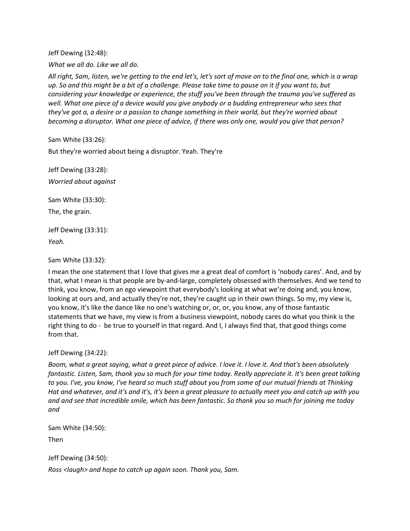Jeff Dewing (32:48):

*What we all do. Like we all do.* 

*All right, Sam, listen, we're getting to the end let's, let's sort of move on to the final one, which is a wrap up. So and this might be a bit of a challenge. Please take time to pause on it if you want to, but considering your knowledge or experience, the stuff you've been through the trauma you've suffered as well. What one piece of a device would you give anybody or a budding entrepreneur who sees that they've got a, a desire or a passion to change something in their world, but they're worried about becoming a disruptor. What one piece of advice, if there was only one, would you give that person?*

Sam White (33:26):

But they're worried about being a disruptor. Yeah. They're

Jeff Dewing (33:28): *Worried about against*

Sam White (33:30):

The, the grain.

Jeff Dewing (33:31): *Yeah.*

Sam White (33:32):

I mean the one statement that I love that gives me a great deal of comfort is 'nobody cares'. And, and by that, what I mean is that people are by-and-large, completely obsessed with themselves. And we tend to think, you know, from an ego viewpoint that everybody's looking at what we're doing and, you know, looking at ours and, and actually they're not, they're caught up in their own things. So my, my view is, you know, it's like the dance like no one's watching or, or, or, you know, any of those fantastic statements that we have, my view is from a business viewpoint, nobody cares do what you think is the right thing to do - be true to yourself in that regard. And I, I always find that, that good things come from that.

### Jeff Dewing (34:22):

*Boom, what a great saying, what a great piece of advice. I love it. I love it. And that's been absolutely fantastic. Listen, Sam, thank you so much for your time today. Really appreciate it. It's been great talking to you. I've, you know, I've heard so much stuff about you from some of our mutual friends at Thinking Hat and whatever, and it's and it's, it's been a great pleasure to actually meet you and catch up with you and and see that incredible smile, which has been fantastic. So thank you so much for joining me today and*

Sam White (34:50):

Then

Jeff Dewing (34:50):

*Ross <laugh> and hope to catch up again soon. Thank you, Sam.*